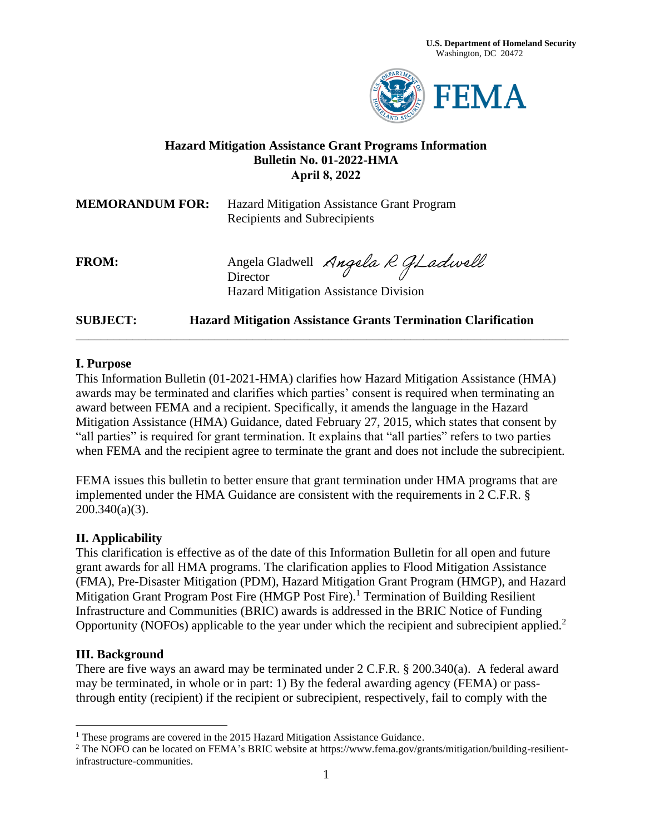

# **Hazard Mitigation Assistance Grant Programs Information Bulletin No. 01-2022-HMA April 8, 2022**

**MEMORANDUM FOR:** Hazard Mitigation Assistance Grant Program Recipients and Subrecipients

FROM: Angela Gladwell Angela R GLadwell **Director** Hazard Mitigation Assistance Division

**SUBJECT: Hazard Mitigation Assistance Grants Termination Clarification**

### **I. Purpose**

This Information Bulletin (01-2021-HMA) clarifies how Hazard Mitigation Assistance (HMA) awards may be terminated and clarifies which parties' consent is required when terminating an award between FEMA and a recipient. Specifically, it amends the language in the Hazard Mitigation Assistance (HMA) Guidance, dated February 27, 2015, which states that consent by "all parties" is required for grant termination. It explains that "all parties" refers to two parties when FEMA and the recipient agree to terminate the grant and does not include the subrecipient.

\_\_\_\_\_\_\_\_\_\_\_\_\_\_\_\_\_\_\_\_\_\_\_\_\_\_\_\_\_\_\_\_\_\_\_\_\_\_\_\_\_\_\_\_\_\_\_\_\_\_\_\_\_\_\_\_\_\_\_\_\_\_\_\_\_\_\_\_\_\_\_\_\_\_\_\_\_\_

FEMA issues this bulletin to better ensure that grant termination under HMA programs that are implemented under the HMA Guidance are consistent with the requirements in 2 C.F.R. § 200.340(a)(3).

### **II. Applicability**

This clarification is effective as of the date of this Information Bulletin for all open and future grant awards for all HMA programs. The clarification applies to Flood Mitigation Assistance (FMA), Pre-Disaster Mitigation (PDM), Hazard Mitigation Grant Program (HMGP), and Hazard Mitigation Grant Program Post Fire (HMGP Post Fire).<sup>1</sup> Termination of Building Resilient Infrastructure and Communities (BRIC) awards is addressed in the BRIC Notice of Funding Opportunity (NOFOs) applicable to the year under which the recipient and subrecipient applied.<sup>2</sup>

#### **III. Background**

There are five ways an award may be terminated under 2 C.F.R. § 200.340(a). A federal award may be terminated, in whole or in part: 1) By the federal awarding agency (FEMA) or passthrough entity (recipient) if the recipient or subrecipient, respectively, fail to comply with the

<sup>&</sup>lt;sup>1</sup> These programs are covered in the 2015 Hazard Mitigation Assistance Guidance.

<sup>2</sup> The NOFO can be located on FEMA's BRIC website at https://www.fema.gov/grants/mitigation/building-resilientinfrastructure-communities.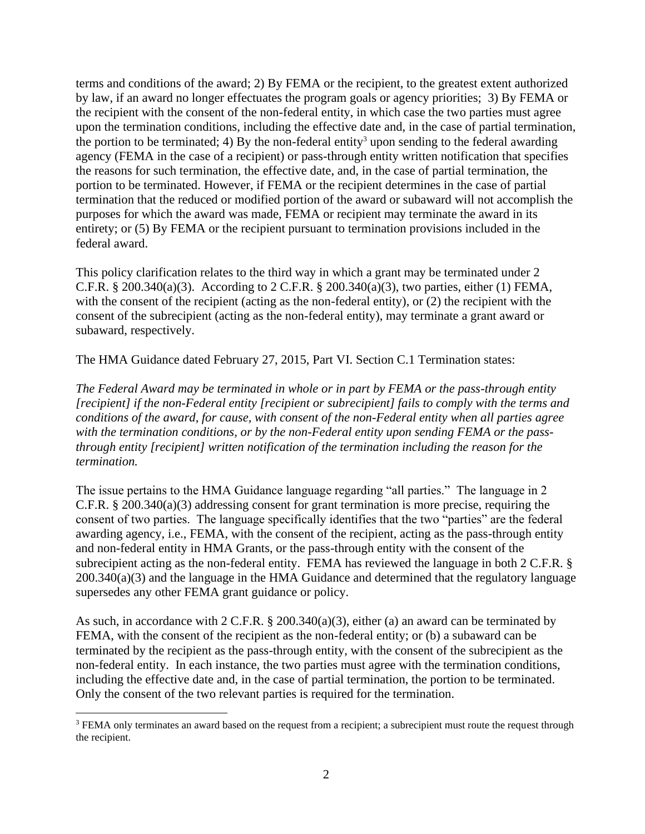terms and conditions of the award; 2) By FEMA or the recipient, to the greatest extent authorized by law, if an award no longer effectuates the program goals or agency priorities; 3) By FEMA or the recipient with the consent of the non-federal entity, in which case the two parties must agree upon the termination conditions, including the effective date and, in the case of partial termination, the portion to be terminated; 4) By the non-federal entity<sup>3</sup> upon sending to the federal awarding agency (FEMA in the case of a recipient) or pass-through entity written notification that specifies the reasons for such termination, the effective date, and, in the case of partial termination, the portion to be terminated. However, if FEMA or the recipient determines in the case of partial termination that the reduced or modified portion of the award or subaward will not accomplish the purposes for which the award was made, FEMA or recipient may terminate the award in its entirety; or (5) By FEMA or the recipient pursuant to termination provisions included in the federal award.

This policy clarification relates to the third way in which a grant may be terminated under 2 C.F.R. § 200.340(a)(3). According to 2 C.F.R. § 200.340(a)(3), two parties, either (1) FEMA, with the consent of the recipient (acting as the non-federal entity), or (2) the recipient with the consent of the subrecipient (acting as the non-federal entity), may terminate a grant award or subaward, respectively.

The HMA Guidance dated February 27, 2015, Part VI. Section C.1 Termination states:

*The Federal Award may be terminated in whole or in part by FEMA or the pass-through entity [recipient] if the non-Federal entity [recipient or subrecipient] fails to comply with the terms and conditions of the award, for cause, with consent of the non-Federal entity when all parties agree with the termination conditions, or by the non-Federal entity upon sending FEMA or the passthrough entity [recipient] written notification of the termination including the reason for the termination.* 

The issue pertains to the HMA Guidance language regarding "all parties." The language in 2 C.F.R. § 200.340(a)(3) addressing consent for grant termination is more precise, requiring the consent of two parties. The language specifically identifies that the two "parties" are the federal awarding agency, i.e., FEMA, with the consent of the recipient, acting as the pass-through entity and non-federal entity in HMA Grants, or the pass-through entity with the consent of the subrecipient acting as the non-federal entity. FEMA has reviewed the language in both 2 C.F.R. § 200.340(a)(3) and the language in the HMA Guidance and determined that the regulatory language supersedes any other FEMA grant guidance or policy.

As such, in accordance with 2 C.F.R. § 200.340(a)(3), either (a) an award can be terminated by FEMA, with the consent of the recipient as the non-federal entity; or (b) a subaward can be terminated by the recipient as the pass-through entity, with the consent of the subrecipient as the non-federal entity. In each instance, the two parties must agree with the termination conditions, including the effective date and, in the case of partial termination, the portion to be terminated. Only the consent of the two relevant parties is required for the termination.

<sup>3</sup> FEMA only terminates an award based on the request from a recipient; a subrecipient must route the request through the recipient.